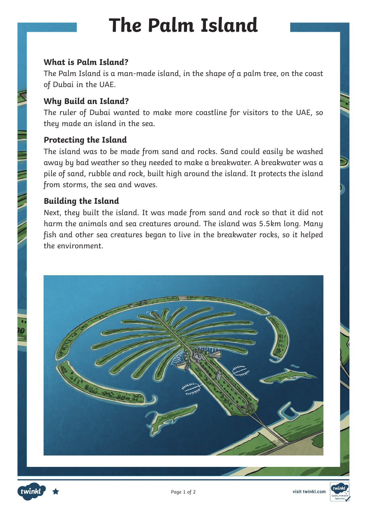# **The Palm Island**

#### **What is Palm Island?**

The Palm Island is a man-made island, in the shape of a palm tree, on the coast of Dubai in the UAE.

### **Why Build an Island?**

The ruler of Dubai wanted to make more coastline for visitors to the UAE, so they made an island in the sea.

#### **Protecting the Island**

The island was to be made from sand and rocks. Sand could easily be washed away by bad weather so they needed to make a breakwater. A breakwater was a pile of sand, rubble and rock, built high around the island. It protects the island from storms, the sea and waves.

### **Building the Island**

Next, they built the island. It was made from sand and rock so that it did not harm the animals and sea creatures around. The island was 5.5km long. Many fish and other sea creatures began to live in the breakwater rocks, so it helped the environment.





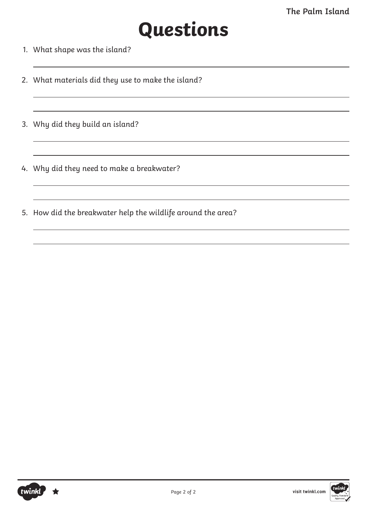# **Questions**

- 1. What shape was the island?
- 2. What materials did they use to make the island?
- 3. Why did they build an island?
- 4. Why did they need to make a breakwater?
- 5. How did the breakwater help the wildlife around the area?